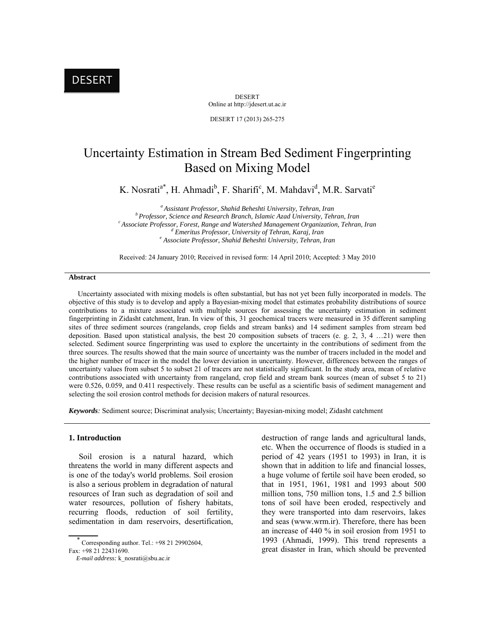DESERT Online at http://jdesert.ut.ac.ir

DESERT 17 (2013) 265-275

# Uncertainty Estimation in Stream Bed Sediment Fingerprinting Based on Mixing Model

K. Nosrati<sup>a\*</sup>, H. Ahmadi<sup>b</sup>, F. Sharifi<sup>c</sup>, M. Mahdavi<sup>d</sup>, M.R. Sarvati<sup>e</sup>

<sup>a</sup> Assistant Professor, Shahid Beheshti University, Tehran, Iran<br><sup>b</sup> Professor, Science and Research Branch, Islamic Azad University, Tehran, Iran<br><sup>c</sup> Associate Professor, Forest, Range and Watershed Management Organizat <sup>d</sup> Emeritus Professor, University of Tehran, Karaj, Iran  *Associate Professor, Shahid Beheshti University, Tehran, Iran* 

Received: 24 January 2010; Received in revised form: 14 April 2010; Accepted: 3 May 2010

#### **Abstract**

 Uncertainty associated with mixing models is often substantial, but has not yet been fully incorporated in models. The objective of this study is to develop and apply a Bayesian-mixing model that estimates probability distributions of source contributions to a mixture associated with multiple sources for assessing the uncertainty estimation in sediment fingerprinting in Zidasht catchment, Iran. In view of this, 31 geochemical tracers were measured in 35 different sampling sites of three sediment sources (rangelands, crop fields and stream banks) and 14 sediment samples from stream bed deposition. Based upon statistical analysis, the best 20 composition subsets of tracers (e. g. 2, 3, 4 …21) were then selected. Sediment source fingerprinting was used to explore the uncertainty in the contributions of sediment from the three sources. The results showed that the main source of uncertainty was the number of tracers included in the model and the higher number of tracer in the model the lower deviation in uncertainty. However, differences between the ranges of uncertainty values from subset 5 to subset 21 of tracers are not statistically significant. In the study area, mean of relative contributions associated with uncertainty from rangeland, crop field and stream bank sources (mean of subset 5 to 21) were 0.526, 0.059, and 0.411 respectively. These results can be useful as a scientific basis of sediment management and selecting the soil erosion control methods for decision makers of natural resources.

*Keywords:* Sediment source; Discriminat analysis; Uncertainty; Bayesian-mixing model; Zidasht catchment

#### **1. Introduction**

 Soil erosion is a natural hazard, which threatens the world in many different aspects and is one of the today's world problems. Soil erosion is also a serious problem in degradation of natural resources of Iran such as degradation of soil and water resources, pollution of fishery habitats, recurring floods, reduction of soil fertility, sedimentation in dam reservoirs, desertification, destruction of range lands and agricultural lands, etc. When the occurrence of floods is studied in a period of 42 years (1951 to 1993) in Iran, it is shown that in addition to life and financial losses, a huge volume of fertile soil have been eroded, so that in 1951, 1961, 1981 and 1993 about 500 million tons, 750 million tons, 1.5 and 2.5 billion tons of soil have been eroded, respectively and they were transported into dam reservoirs, lakes and seas (www.wrm.ir). Therefore, there has been an increase of 440 % in soil erosion from 1951 to 1993 (Ahmadi, 1999). This trend represents a great disaster in Iran, which should be prevented

 $\overline{\phantom{a}}$  Corresponding author. Tel.: +98 21 29902604, Fax: +98 21 22431690.

*E-mail address:* k\_nosrati@sbu.ac.ir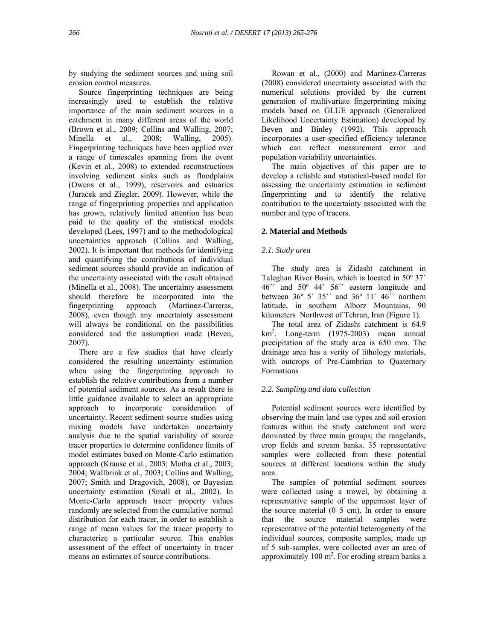by studying the sediment sources and using soil erosion control measures.

 Source fingerprinting techniques are being increasingly used to establish the relative importance of the main sediment sources in a catchment in many different areas of the world (Brown et al., 2009; Collins and Walling, 2007; Minella et al., 2008; Walling, 2005). Fingerprinting techniques have been applied over a range of timescales spanning from the event (Kevin et al., 2008) to extended reconstructions involving sediment sinks such as floodplains (Owens et al., 1999), reservoirs and estuaries (Juracek and Ziegler, 2009). However, while the range of fingerprinting properties and application has grown, relatively limited attention has been paid to the quality of the statistical models developed (Lees, 1997) and to the methodological uncertainties approach (Collins and Walling, 2002). It is important that methods for identifying and quantifying the contributions of individual sediment sources should provide an indication of the uncertainty associated with the result obtained (Minella et al., 2008). The uncertainty assessment should therefore be incorporated into the fingerprinting approach (Martinez-Carreras, 2008), even though any uncertainty assessment will always be conditional on the possibilities considered and the assumption made (Beven, 2007).

 There are a few studies that have clearly considered the resulting uncertainty estimation when using the fingerprinting approach to establish the relative contributions from a number of potential sediment sources. As a result there is little guidance available to select an appropriate approach to incorporate consideration of uncertainty. Recent sediment source studies using mixing models have undertaken uncertainty analysis due to the spatial variability of source tracer properties to determine confidence limits of model estimates based on Monte-Carlo estimation approach (Krause et al., 2003; Motha et al., 2003; 2004; Wallbrink et al., 2003; Collins and Walling, 2007; Smith and Dragovich, 2008), or Bayesian uncertainty estimation (Small et al., 2002). In Monte-Carlo approach tracer property values randomly are selected from the cumulative normal distribution for each tracer, in order to establish a range of mean values for the tracer property to characterize a particular source. This enables assessment of the effect of uncertainty in tracer means on estimates of source contributions.

 Rowan et al., (2000) and Martinez-Carreras (2008) considered uncertainty associated with the numerical solutions provided by the current generation of multivariate fingerprinting mixing models based on GLUE approach (Generalized Likelihood Uncertainty Estimation) developed by Beven and Binley (1992). This approach incorporates a user-specified efficiency tolerance which can reflect measurement error and population variability uncertainties.

 The main objectives of this paper are to develop a reliable and statistical-based model for assessing the uncertainty estimation in sediment fingerprinting and to identify the relative contribution to the uncertainty associated with the number and type of tracers.

## **2. Material and Methods**

## *2.1. Study area*

 The study area is Zidasht catchment in Taleghan River Basin, which is located in 50º 37΄ 46΄΄ and 50º 44΄ 56΄΄ eastern longitude and between 36º 5΄ 35΄΄ and 36º 11΄ 46΄΄ northern latitude, in southern Alborz Mountains, 90 kilometers Northwest of Tehran, Iran (Figure 1).

 The total area of Zidasht catchment is 64.9 km2 . Long-term (1975-2003) mean annual precipitation of the study area is 650 mm. The drainage area has a verity of lithology materials, with outcrops of Pre-Cambrian to Quaternary Formations

## *2.2. Sampling and data collection*

 Potential sediment sources were identified by observing the main land use types and soil erosion features within the study catchment and were dominated by three main groups; the rangelands, crop fields and stream banks. 35 representative samples were collected from these potential sources at different locations within the study area.

 The samples of potential sediment sources were collected using a trowel, by obtaining a representative sample of the uppermost layer of the source material (0–5 cm). In order to ensure that the source material samples were representative of the potential heterogeneity of the individual sources, composite samples, made up of 5 sub-samples, were collected over an area of approximately  $100 \text{ m}^2$ . For eroding stream banks a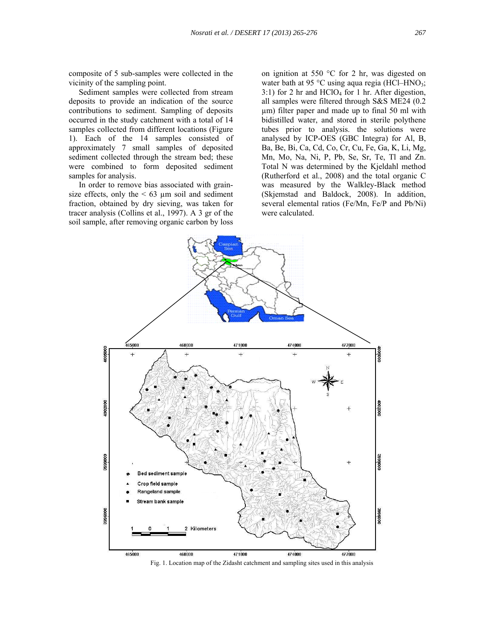composite of 5 sub-samples were collected in the vicinity of the sampling point.

 Sediment samples were collected from stream deposits to provide an indication of the source contributions to sediment. Sampling of deposits occurred in the study catchment with a total of 14 samples collected from different locations (Figure 1). Each of the 14 samples consisted of approximately 7 small samples of deposited sediment collected through the stream bed; these were combined to form deposited sediment samples for analysis.

 In order to remove bias associated with grainsize effects, only the  $\leq 63$  µm soil and sediment fraction, obtained by dry sieving, was taken for tracer analysis (Collins et al., 1997). A 3 gr of the soil sample, after removing organic carbon by loss on ignition at 550 °C for 2 hr, was digested on water bath at 95  $\degree$ C using aqua regia (HCl–HNO<sub>3</sub>; 3:1) for 2 hr and  $HClO<sub>4</sub>$  for 1 hr. After digestion, all samples were filtered through S&S ME24 (0.2 µm) filter paper and made up to final 50 ml with bidistilled water, and stored in sterile polythene tubes prior to analysis. the solutions were analysed by ICP-OES (GBC Integra) for Al, B, Ba, Be, Bi, Ca, Cd, Co, Cr, Cu, Fe, Ga, K, Li, Mg, Mn, Mo, Na, Ni, P, Pb, Se, Sr, Te, Tl and Zn. Total N was determined by the Kjeldahl method (Rutherford et al., 2008) and the total organic C was measured by the Walkley-Black method (Skjemstad and Baldock, 2008). In addition, several elemental ratios (Fe/Mn, Fe/P and Pb/Ni) were calculated.



Fig. 1. Location map of the Zidasht catchment and sampling sites used in this analysis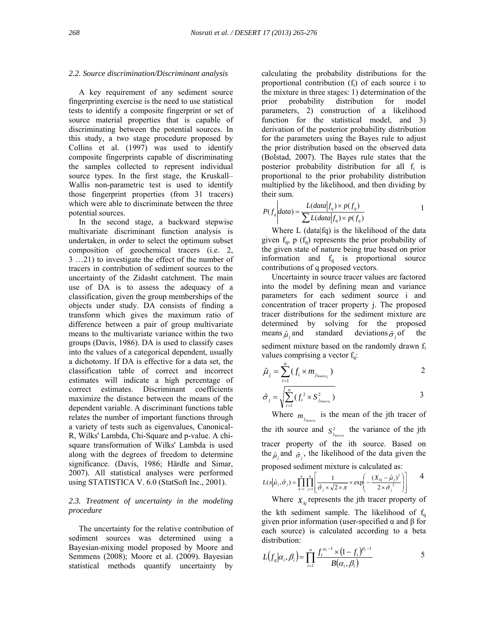#### *2.2. Source discrimination/Discriminant analysis*

 A key requirement of any sediment source fingerprinting exercise is the need to use statistical tests to identify a composite fingerprint or set of source material properties that is capable of discriminating between the potential sources. In this study, a two stage procedure proposed by Collins et al. (1997) was used to identify composite fingerprints capable of discriminating the samples collected to represent individual source types. In the first stage, the Kruskall– Wallis non-parametric test is used to identify those fingerprint properties (from 31 tracers) which were able to discriminate between the three potential sources.

 In the second stage, a backward stepwise multivariate discriminant function analysis is undertaken, in order to select the optimum subset composition of geochemical tracers (i.e. 2, 3 …21) to investigate the effect of the number of tracers in contribution of sediment sources to the uncertainty of the Zidasht catchment. The main use of DA is to assess the adequacy of a classification, given the group memberships of the objects under study. DA consists of finding a transform which gives the maximum ratio of difference between a pair of group multivariate means to the multivariate variance within the two groups (Davis, 1986). DA is used to classify cases into the values of a categorical dependent, usually a dichotomy. If DA is effective for a data set, the classification table of correct and incorrect estimates will indicate a high percentage of correct estimates. Discriminant coefficients maximize the distance between the means of the dependent variable. A discriminant functions table relates the number of important functions through a variety of tests such as eigenvalues, Canonical-R, Wilks' Lambda, Chi-Square and p-value. A chisquare transformation of Wilks' Lambda is used along with the degrees of freedom to determine significance. (Davis, 1986; Härdle and Simar, 2007). All statistical analyses were performed using STATISTICA V. 6.0 (StatSoft Inc., 2001).

## *2.3. Treatment of uncertainty in the modeling procedure*

 The uncertainty for the relative contribution of sediment sources was determined using a Bayesian-mixing model proposed by Moore and Semmens (2008); Moore et al. (2009). Bayesian statistical methods quantify uncertainty by

calculating the probability distributions for the proportional contribution  $(f_i)$  of each source i to the mixture in three stages: 1) determination of the prior probability distribution for model parameters, 2) construction of a likelihood function for the statistical model, and 3) derivation of the posterior probability distribution for the parameters using the Bayes rule to adjust the prior distribution based on the observed data (Bolstad, 2007). The Bayes rule states that the posterior probability distribution for all f<sub>i</sub> is proportional to the prior probability distribution multiplied by the likelihood, and then dividing by their sum.

$$
P(f_q|data) = \frac{L(data|f_q) \times p(f_q)}{\sum L(data|f_q) \times p(f_q)}
$$
1

 Where L (data|fq) is the likelihood of the data given  $f_q$ , p  $(f_q)$  represents the prior probability of the given state of nature being true based on prior information and  $f_q$  is proportional source contributions of q proposed vectors.

 Uncertainty in source tracer values are factored into the model by defining mean and variance parameters for each sediment source i and concentration of tracer property j. The proposed tracer distributions for the sediment mixture are determined by solving for the proposed means  $\hat{\mu}_i$  and standard deviations  $\hat{\sigma}_i$  of the sediment mixture based on the randomly drawn  $f_i$ values comprising a vector  $f_q$ :

$$
\hat{\mu}_j = \sum_{i=1}^n (f_i \times m_{j_{Source_i}})
$$

$$
\hat{\sigma}_j = \sqrt{\sum_{i=1}^n (f_i^2 \times S_{j_{Source_i}}^2)}
$$
 3

Where  $m_{j_{Source}}$  is the mean of the jth tracer of the ith source and  $S^2_{j_{Source}}$  the variance of the jth tracer property of the ith source. Based on the  $\hat{\mu}_j$  and  $\hat{\sigma}_j$ , the likelihood of the data given the proposed sediment mixture is calculated as:

$$
L(x|\hat{\mu}_j, \hat{\sigma}_j) = \prod_{k=1}^n \prod_{j=1}^n \left[ \frac{1}{\hat{\sigma}_j \times \sqrt{2 \times \pi}} \times \exp\left(-\frac{(X_{kj} - \hat{\mu}_j)^2}{2 \times \hat{\sigma}_j^2}\right) \right] \qquad 4
$$

Where  $X_{ki}$  represents the jth tracer property of the kth sediment sample. The likelihood of  $f_q$ given prior information (user-specified α and β for each source) is calculated according to a beta distribution:

$$
L(f_q|\alpha_i, \beta_i) = \prod_{i=1}^n \frac{f_i^{\alpha_i - 1} \times (1 - f_i)^{\beta_i - 1}}{B(\alpha_i, \beta_i)}
$$
 5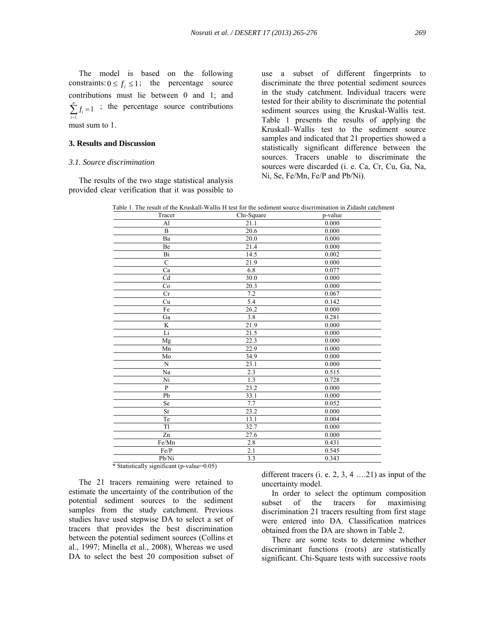The model is based on the following constraints:  $0 \le f_i \le 1$ ; the percentage source contributions must lie between 0 and 1; and  $\sum_{i=1}^{n} f_i = 1$  ; the percentage source contributions 1 *i* must sum to 1.

#### **3. Results and Discussion**

#### *3.1. Source discrimination*

 The results of the two stage statistical analysis provided clear verification that it was possible to

use a subset of different fingerprints to discriminate the three potential sediment sources in the study catchment. Individual tracers were tested for their ability to discriminate the potential sediment sources using the Kruskal-Wallis test. Table 1 presents the results of applying the Kruskall–Wallis test to the sediment source samples and indicated that 21 properties showed a statistically significant difference between the sources. Tracers unable to discriminate the sources were discarded (i. e. Ca, Cr, Cu, Ga, Na, Ni, Se, Fe/Mn, Fe/P and Pb/Ni).

Table 1. The result of the Kruskall-Wallis H test for the sediment source discrimination in Zidasht catchment

| Tracer         | Chi-Square | p-value |
|----------------|------------|---------|
| A <sub>1</sub> | 21.1       | 0.000   |
| B              | 20.6       | 0.000   |
| Ba             | 20.0       | 0.000   |
| Be             | 21.4       | 0.000   |
| Bi             | 14.5       | 0.002   |
| $\overline{C}$ | 21.9       | 0.000   |
| Ca             | 6.8        | 0.077   |
| Cd             | 30.0       | 0.000   |
| Co             | 20.3       | 0.000   |
| Cr             | 7.2        | 0.067   |
| Cu             | 5.4        | 0.142   |
| Fe             | 26.2       | 0.000   |
| Ga             | 3.8        | 0.281   |
| K              | 21.9       | 0.000   |
| Li             | 21.5       | 0.000   |
| Mg             | 22.3       | 0.000   |
| Mn             | 22.9       | 0.000   |
| Mo             | 34.9       | 0.000   |
| N              | 23.1       | 0.000   |
| Na             | 2.3        | 0.515   |
| Ni             | 1.3        | 0.728   |
| $\overline{P}$ | 23.2       | 0.000   |
| Pb             | 33.1       | 0.000   |
| Se             | 7.7        | 0.052   |
| Sr             | 23.2       | 0.000   |
| Te             | 13.1       | 0.004   |
| Tl             | 32.7       | 0.000   |
| Zn             | 27.6       | 0.000   |
| Fe/Mn          | 2.8        | 0.431   |
| Fe/P           | 2.1        | 0.545   |
| Pb/Ni          | 3.3        | 0.343   |

\* Statistically significant (p-value=0.05)

 The 21 tracers remaining were retained to estimate the uncertainty of the contribution of the potential sediment sources to the sediment samples from the study catchment. Previous studies have used stepwise DA to select a set of tracers that provides the best discrimination between the potential sediment sources (Collins et al., 1997; Minella et al., 2008), Whereas we used DA to select the best 20 composition subset of different tracers (i. e. 2, 3, 4 ….21) as input of the uncertainty model.

 In order to select the optimum composition subset of the tracers for maximising discrimination 21 tracers resulting from first stage were entered into DA. Classification matrices obtained from the DA are shown in Table 2.

 There are some tests to determine whether discriminant functions (roots) are statistically significant. Chi-Square tests with successive roots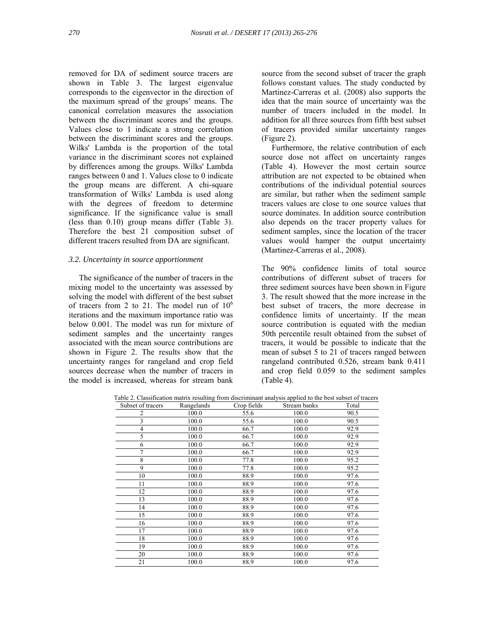removed for DA of sediment source tracers are shown in Table 3. The largest eigenvalue corresponds to the eigenvector in the direction of the maximum spread of the groups' means. The canonical correlation measures the association between the discriminant scores and the groups. Values close to 1 indicate a strong correlation between the discriminant scores and the groups. Wilks' Lambda is the proportion of the total variance in the discriminant scores not explained by differences among the groups. Wilks' Lambda ranges between 0 and 1. Values close to 0 indicate the group means are different. A chi-square transformation of Wilks' Lambda is used along with the degrees of freedom to determine significance. If the significance value is small (less than 0.10) group means differ (Table 3). Therefore the best 21 composition subset of different tracers resulted from DA are significant.

#### *3.2. Uncertainty in source apportionment*

 The significance of the number of tracers in the mixing model to the uncertainty was assessed by solving the model with different of the best subset of tracers from 2 to 21. The model run of  $10^6$ iterations and the maximum importance ratio was below 0.001. The model was run for mixture of sediment samples and the uncertainty ranges associated with the mean source contributions are shown in Figure 2. The results show that the uncertainty ranges for rangeland and crop field sources decrease when the number of tracers in the model is increased, whereas for stream bank

source from the second subset of tracer the graph follows constant values. The study conducted by Martinez-Carreras et al. (2008) also supports the idea that the main source of uncertainty was the number of tracers included in the model. In addition for all three sources from fifth best subset of tracers provided similar uncertainty ranges (Figure 2).

 Furthermore, the relative contribution of each source dose not affect on uncertainty ranges (Table 4). However the most certain source attribution are not expected to be obtained when contributions of the individual potential sources are similar, but rather when the sediment sample tracers values are close to one source values that source dominates. In addition source contribution also depends on the tracer property values for sediment samples, since the location of the tracer values would hamper the output uncertainty (Martinez-Carreras et al., 2008).

The 90% confidence limits of total source contributions of different subset of tracers for three sediment sources have been shown in Figure 3. The result showed that the more increase in the best subset of tracers, the more decrease in confidence limits of uncertainty. If the mean source contribution is equated with the median 50th percentile result obtained from the subset of tracers, it would be possible to indicate that the mean of subset 5 to 21 of tracers ranged between rangeland contributed 0.526, stream bank 0.411 and crop field 0.059 to the sediment samples (Table 4).

| Subset of tracers | Rangelands | Crop fields | Stream banks | Total |
|-------------------|------------|-------------|--------------|-------|
| 2                 | 100.0      | 55.6        | 100.0        | 90.5  |
| 3                 | 100.0      | 55.6        | 100.0        | 90.5  |
| 4                 | 100.0      | 66.7        | 100.0        | 92.9  |
| 5                 | 100.0      | 66.7        | 100.0        | 92.9  |
| 6                 | 100.0      | 66.7        | 100.0        | 92.9  |
|                   | 100.0      | 66.7        | 100.0        | 92.9  |
| 8                 | 100.0      | 77.8        | 100.0        | 95.2  |
| 9                 | 100.0      | 77.8        | 100.0        | 95.2  |
| 10                | 100.0      | 88.9        | 100.0        | 97.6  |
| 11                | 100.0      | 88.9        | 100.0        | 97.6  |
| 12                | 100.0      | 88.9        | 100.0        | 97.6  |
| 13                | 100.0      | 88.9        | 100.0        | 97.6  |
| 14                | 100.0      | 88.9        | 100.0        | 97.6  |
| 15                | 100.0      | 88.9        | 100.0        | 97.6  |
| 16                | 100.0      | 88.9        | 100.0        | 97.6  |
| 17                | 100.0      | 88.9        | 100.0        | 97.6  |
| 18                | 100.0      | 88.9        | 100.0        | 97.6  |
| 19                | 100.0      | 88.9        | 100.0        | 97.6  |
| 20                | 100.0      | 88.9        | 100.0        | 97.6  |
| 21                | 100.0      | 88.9        | 100.0        | 97.6  |

Table 2. Classification matrix resulting from discriminant analysis applied to the best subset of tracers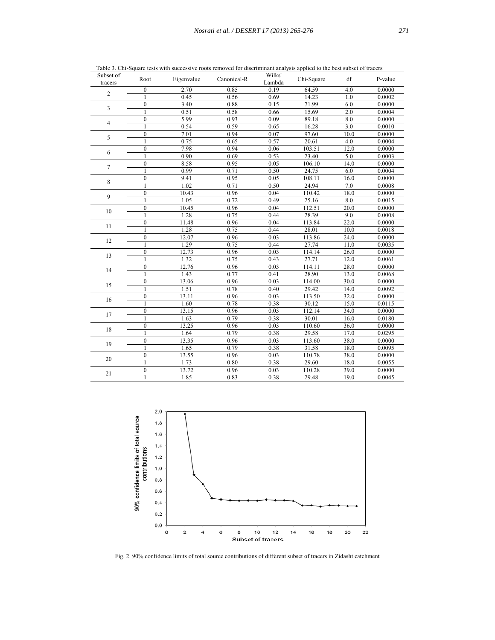| Subset of<br>tracers    | Root             | Eigenvalue | Canonical-R | Wilks'<br>Lambda  | Chi-Square | df   | P-value |
|-------------------------|------------------|------------|-------------|-------------------|------------|------|---------|
|                         | $\boldsymbol{0}$ | 2.70       | 0.85        | 0.19              | 64.59      | 4.0  | 0.0000  |
| $\overline{c}$          | $\mathbf{1}$     | 0.45       | 0.56        | 0.69              | 14.23      | 1.0  | 0.0002  |
| $\overline{\mathbf{3}}$ | $\mathbf{0}$     | 3.40       | 0.88        | 0.15              | 71.99      | 6.0  | 0.0000  |
|                         | 1                | 0.51       | 0.58        | 0.66              | 15.69      | 2.0  | 0.0004  |
|                         | $\theta$         | 5.99       | 0.93        | 0.09              | 89.18      | 8.0  | 0.0000  |
| 4                       | $\mathbf{1}$     | 0.54       | 0.59        | 0.65              | 16.28      | 3.0  | 0.0010  |
| 5                       | $\mathbf{0}$     | 7.01       | 0.94        | 0.07              | 97.60      | 10.0 | 0.0000  |
|                         | 1                | 0.75       | 0.65        | 0.57              | 20.61      | 4.0  | 0.0004  |
| 6                       | $\mathbf{0}$     | 7.98       | 0.94        | 0.06              | 103.51     | 12.0 | 0.0000  |
|                         | 1                | 0.90       | 0.69        | 0.53              | 23.40      | 5.0  | 0.0003  |
| $\tau$                  | $\mathbf{0}$     | 8.58       | 0.95        | 0.05              | 106.10     | 14.0 | 0.0000  |
|                         | $\mathbf{1}$     | 0.99       | 0.71        | 0.50              | 24.75      | 6.0  | 0.0004  |
|                         | $\overline{0}$   | 9.41       | 0.95        | 0.05              | 108.11     | 16.0 | 0.0000  |
| 8                       | $\mathbf{1}$     | 1.02       | 0.71        | 0.50              | 24.94      | 7.0  | 0.0008  |
| 9                       | $\theta$         | 10.43      | 0.96        | 0.04              | 110.42     | 18.0 | 0.0000  |
|                         | $\mathbf{1}$     | 1.05       | 0.72        | 0.49              | 25.16      | 8.0  | 0.0015  |
|                         | $\mathbf{0}$     | 10.45      | 0.96        | 0.04              | 112.51     | 20.0 | 0.0000  |
| 10                      | $\mathbf{1}$     | 1.28       | 0.75        | 0.44              | 28.39      | 9.0  | 0.0008  |
|                         | $\boldsymbol{0}$ | 11.48      | 0.96        | 0.04              | 113.84     | 22.0 | 0.0000  |
| 11                      | $\mathbf{1}$     | 1.28       | 0.75        | 0.44              | 28.01      | 10.0 | 0.0018  |
|                         | $\mathbf{0}$     | 12.07      | 0.96        | 0.03              | 113.86     | 24.0 | 0.0000  |
| 12                      | 1                | 1.29       | 0.75        | 0.44              | 27.74      | 11.0 | 0.0035  |
|                         | $\mathbf{0}$     | 12.73      | 0.96        | 0.03              | 114.14     | 26.0 | 0.0000  |
| 13                      | 1                | 1.32       | 0.75        | 0.43              | 27.71      | 12.0 | 0.0061  |
|                         | $\mathbf{0}$     | 12.76      | 0.96        | 0.03              | 114.11     | 28.0 | 0.0000  |
| 14                      | $\mathbf{1}$     | 1.43       | 0.77        | 0.41              | 28.90      | 13.0 | 0.0068  |
|                         | $\theta$         | 13.06      | 0.96        | $0.\overline{03}$ | 114.00     | 30.0 | 0.0000  |
| 15                      | $\mathbf{1}$     | 1.51       | 0.78        | 0.40              | 29.42      | 14.0 | 0.0092  |
| 16                      | $\mathbf{0}$     | 13.11      | 0.96        | 0.03              | 113.50     | 32.0 | 0.0000  |
|                         | 1                | 1.60       | 0.78        | 0.38              | 30.12      | 15.0 | 0.0115  |
|                         | $\mathbf{0}$     | 13.15      | 0.96        | 0.03              | 112.14     | 34.0 | 0.0000  |
| 17                      | 1                | 1.63       | 0.79        | 0.38              | 30.01      | 16.0 | 0.0180  |
| 18                      | $\mathbf{0}$     | 13.25      | 0.96        | 0.03              | 110.60     | 36.0 | 0.0000  |
|                         | 1                | 1.64       | 0.79        | 0.38              | 29.58      | 17.0 | 0.0295  |
| 19                      | $\mathbf{0}$     | 13.35      | 0.96        | 0.03              | 113.60     | 38.0 | 0.0000  |
|                         | 1                | 1.65       | 0.79        | 0.38              | 31.58      | 18.0 | 0.0095  |
|                         | $\theta$         | 13.55      | 0.96        | 0.03              | 110.78     | 38.0 | 0.0000  |
| 20                      | 1                | 1.73       | 0.80        | 0.38              | 29.60      | 18.0 | 0.0055  |
| 21                      | $\mathbf{0}$     | 13.72      | 0.96        | 0.03              | 110.28     | 39.0 | 0.0000  |
|                         | $\mathbf{1}$     | 1.85       | 0.83        | 0.38              | 29.48      | 19.0 | 0.0045  |

Table 3. Chi-Square tests with successive roots removed for discriminant analysis applied to the best subset of tracers



Fig. 2. 90% confidence limits of total source contributions of different subset of tracers in Zidasht catchment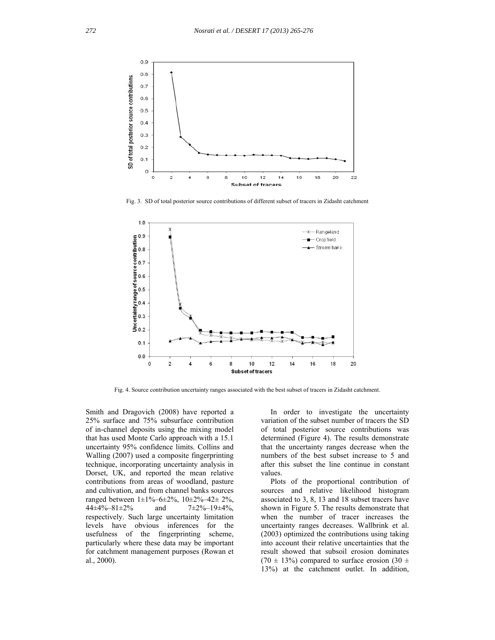

Fig. 3. SD of total posterior source contributions of different subset of tracers in Zidasht catchment



Fig. 4. Source contribution uncertainty ranges associated with the best subset of tracers in Zidasht catchment.

Smith and Dragovich (2008) have reported a 25% surface and 75% subsurface contribution of in-channel deposits using the mixing model that has used Monte Carlo approach with a 15.1 uncertainty 95% confidence limits. Collins and Walling (2007) used a composite fingerprinting technique, incorporating uncertainty analysis in Dorset, UK, and reported the mean relative contributions from areas of woodland, pasture and cultivation, and from channel banks sources ranged between  $1\pm1\% - 6\pm2\%$ ,  $10\pm2\% - 42\pm2\%$ ,  $44\pm4\% - 81\pm2\%$  and  $7\pm2\% - 19\pm4\%$ , respectively. Such large uncertainty limitation levels have obvious inferences for the usefulness of the fingerprinting scheme, particularly where these data may be important for catchment management purposes (Rowan et al., 2000).

 In order to investigate the uncertainty variation of the subset number of tracers the SD of total posterior source contributions was determined (Figure 4). The results demonstrate that the uncertainty ranges decrease when the numbers of the best subset increase to 5 and after this subset the line continue in constant values.

 Plots of the proportional contribution of sources and relative likelihood histogram associated to 3, 8, 13 and 18 subset tracers have shown in Figure 5. The results demonstrate that when the number of tracer increases the uncertainty ranges decreases. Wallbrink et al. (2003) optimized the contributions using taking into account their relative uncertainties that the result showed that subsoil erosion dominates (70  $\pm$  13%) compared to surface erosion (30  $\pm$ 13%) at the catchment outlet. In addition,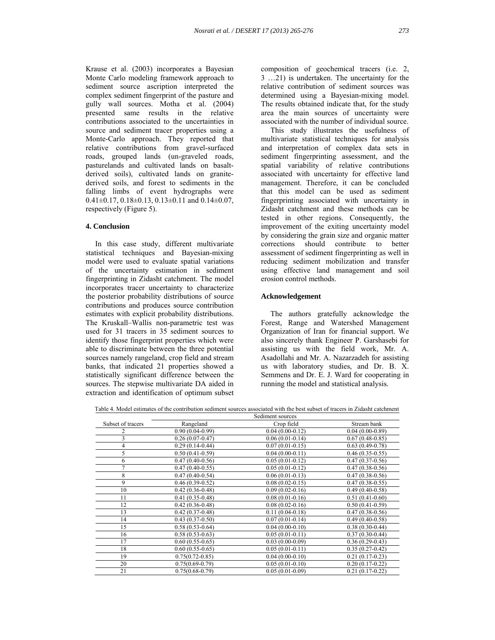Krause et al. (2003) incorporates a Bayesian Monte Carlo modeling framework approach to sediment source ascription interpreted the complex sediment fingerprint of the pasture and gully wall sources. Motha et al. (2004) presented same results in the relative contributions associated to the uncertainties in source and sediment tracer properties using a Monte-Carlo approach. They reported that relative contributions from gravel-surfaced roads, grouped lands (un-graveled roads, pasturelands and cultivated lands on basaltderived soils), cultivated lands on granitederived soils, and forest to sediments in the falling limbs of event hydrographs were  $0.41\pm0.17$ ,  $0.18\pm0.13$ ,  $0.13\pm0.11$  and  $0.14\pm0.07$ , respectively (Figure 5).

## **4. Conclusion**

 In this case study, different multivariate statistical techniques and Bayesian-mixing model were used to evaluate spatial variations of the uncertainty estimation in sediment fingerprinting in Zidasht catchment. The model incorporates tracer uncertainty to characterize the posterior probability distributions of source contributions and produces source contribution estimates with explicit probability distributions. The Kruskall–Wallis non-parametric test was used for 31 tracers in 35 sediment sources to identify those fingerprint properties which were able to discriminate between the three potential sources namely rangeland, crop field and stream banks, that indicated 21 properties showed a statistically significant difference between the sources. The stepwise multivariate DA aided in extraction and identification of optimum subset composition of geochemical tracers (i.e. 2, 3 …21) is undertaken. The uncertainty for the relative contribution of sediment sources was determined using a Bayesian-mixing model. The results obtained indicate that, for the study area the main sources of uncertainty were associated with the number of individual source.

 This study illustrates the usefulness of multivariate statistical techniques for analysis and interpretation of complex data sets in sediment fingerprinting assessment, and the spatial variability of relative contributions associated with uncertainty for effective land management. Therefore, it can be concluded that this model can be used as sediment fingerprinting associated with uncertainty in Zidasht catchment and these methods can be tested in other regions. Consequently, the improvement of the exiting uncertainty model by considering the grain size and organic matter corrections should contribute to better assessment of sediment fingerprinting as well in reducing sediment mobilization and transfer using effective land management and soil erosion control methods.

#### **Acknowledgement**

 The authors gratefully acknowledge the Forest, Range and Watershed Management Organization of Iran for financial support. We also sincerely thank Engineer P. Garshasebi for assisting us with the field work, Mr. A. Asadollahi and Mr. A. Nazarzadeh for assisting us with laboratory studies, and Dr. B. X. Semmens and Dr. E. J. Ward for cooperating in running the model and statistical analysis.

Table 4. Model estimates of the contribution sediment sources associated with the best subset of tracers in Zidasht catchment

|                   |                     | Sediment sources    |                     |
|-------------------|---------------------|---------------------|---------------------|
| Subset of tracers | Rangeland           | Crop field          | Stream bank         |
|                   | $0.90(0.04-0.99)$   | $0.04(0.00-0.12)$   | $0.04(0.00-0.89)$   |
| 3                 | $0.26(0.07-0.47)$   | $0.06(0.01-0.14)$   | $0.67(0.48-0.85)$   |
| 4                 | $0.29(0.14-0.44)$   | $0.07(0.01-0.15)$   | $0.63(0.49-0.78)$   |
| 5                 | $0.50(0.41-0.59)$   | $0.04(0.00-0.11)$   | $0.46(0.35-0.55)$   |
| 6                 | $0.47(0.40-0.56)$   | $0.05(0.01-0.12)$   | $0.47(0.37-0.56)$   |
| 7                 | $0.47(0.40 - 0.55)$ | $0.05(0.01-0.12)$   | $0.47(0.38-0.56)$   |
| 8                 | $0.47(0.40-0.54)$   | $0.06(0.01-0.13)$   | $0.47(0.38-0.56)$   |
| 9                 | $0.46(0.39-0.52)$   | $0.08(0.02 - 0.15)$ | $0.47(0.38-0.55)$   |
| 10                | $0.42(0.36-0.48)$   | $0.09(0.02-0.16)$   | $0.49(0.40-0.58)$   |
| 11                | $0.41(0.35-0.48)$   | $0.08(0.01-0.16)$   | $0.51(0.41-0.60)$   |
| 12                | $0.42(0.36 - 0.48)$ | $0.08(0.02-0.16)$   | $0.50(0.41-0.59)$   |
| 13                | $0.42(0.37-0.48)$   | $0.11(0.04 - 0.18)$ | $0.47(0.38-0.56)$   |
| 14                | $0.43(0.37-0.50)$   | $0.07(0.01-0.14)$   | $0.49(0.40 - 0.58)$ |
| 15                | $0.58(0.53-0.64)$   | $0.04(0.00-0.10)$   | $0.38(0.30-0.44)$   |
| 16                | $0.58(0.53 - 0.63)$ | $0.05(0.01-0.11)$   | $0.37(0.30-0.44)$   |
| 17                | $0.60(0.55-0.65)$   | $0.03(0.00-0.09)$   | $0.36(0.29 - 0.43)$ |
| 18                | $0.60(0.55-0.65)$   | $0.05(0.01-0.11)$   | $0.35(0.27-0.42)$   |
| 19                | $0.75(0.72 - 0.85)$ | $0.04(0.00-0.10)$   | $0.21(0.17-0.23)$   |
| 20                | $0.75(0.69 - 0.79)$ | $0.05(0.01-0.10)$   | $0.20(0.17-0.22)$   |
| 21                | $0.75(0.68 - 0.79)$ | $0.05(0.01-0.09)$   | $0.21(0.17-0.22)$   |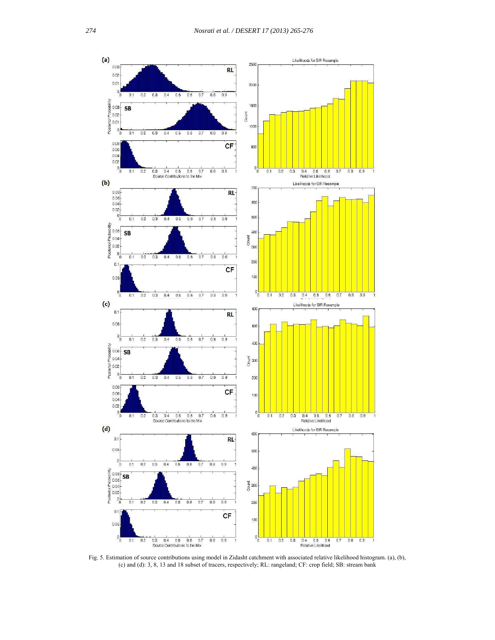

Fig. 5. Estimation of source contributions using model in Zidasht catchment with associated relative likelihood histogram. (a), (b), (c) and (d): 3, 8, 13 and 18 subset of tracers, respectively; RL: rangeland; CF: crop field; SB: stream bank